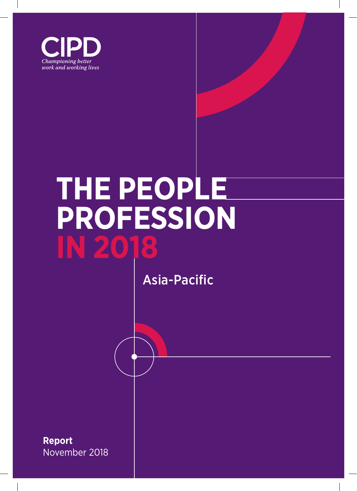

# **THE PEOPLE PROFESSION IN 2018**

Asia-Pacific

**Report** November 2018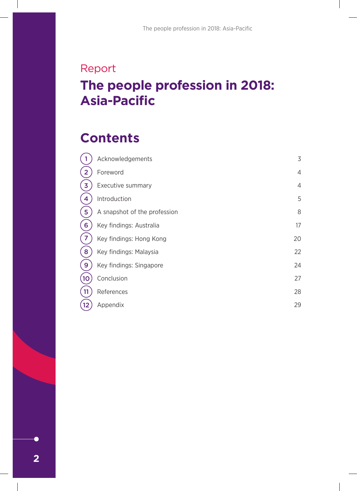# Report **The people profession in 2018: Asia-Pacific**

# **Contents**

|                | Acknowledgements             | 3              |
|----------------|------------------------------|----------------|
|                | Foreword                     | $\overline{4}$ |
| 3              | Executive summary            | $\overline{4}$ |
|                | Introduction                 | 5              |
| 5              | A snapshot of the profession | 8              |
| 6              | Key findings: Australia      | 17             |
| $\overline{7}$ | Key findings: Hong Kong      | 20             |
| 8              | Key findings: Malaysia       | 22             |
| 9              | Key findings: Singapore      | 24             |
| 10             | Conclusion                   | 27             |
| 11             | References                   | 28             |
| 12             | Appendix                     | 29             |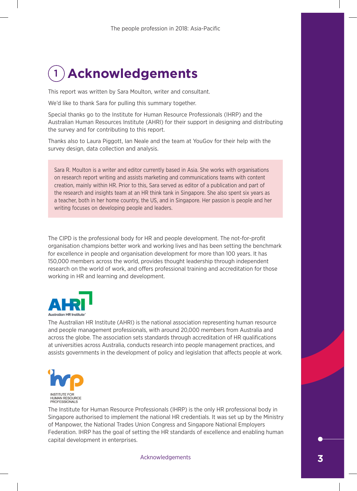# 1 **Acknowledgements**

This report was written by Sara Moulton, writer and consultant.

We'd like to thank Sara for pulling this summary together.

Special thanks go to the Institute for Human Resource Professionals (IHRP) and the Australian Human Resources Institute (AHRI) for their support in designing and distributing the survey and for contributing to this report.

Thanks also to Laura Piggott, Ian Neale and the team at YouGov for their help with the survey design, data collection and analysis.

Sara R. Moulton is a writer and editor currently based in Asia. She works with organisations on research report writing and assists marketing and communications teams with content creation, mainly within HR. Prior to this, Sara served as editor of a publication and part of the research and insights team at an HR think tank in Singapore. She also spent six years as a teacher, both in her home country, the US, and in Singapore. Her passion is people and her writing focuses on developing people and leaders.

The CIPD is the professional body for HR and people development. The not-for-profit organisation champions better work and working lives and has been setting the benchmark for excellence in people and organisation development for more than 100 years. It has 150,000 members across the world, provides thought leadership through independent research on the world of work, and offers professional training and accreditation for those working in HR and learning and development.



The Australian HR Institute (AHRI) is the national association representing human resource and people management professionals, with around 20,000 members from Australia and across the globe. The association sets standards through accreditation of HR qualifications at universities across Australia, conducts research into people management practices, and assists governments in the development of policy and legislation that affects people at work.



The Institute for Human Resource Professionals (IHRP) is the only HR professional body in Singapore authorised to implement the national HR credentials. It was set up by the Ministry of Manpower, the National Trades Union Congress and Singapore National Employers Federation. IHRP has the goal of setting the HR standards of excellence and enabling human capital development in enterprises.

Acknowledgements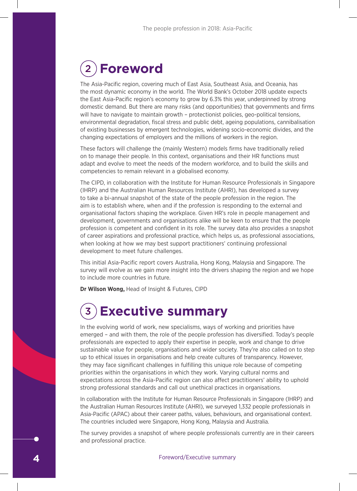# 2 **Foreword**

The Asia-Pacific region, covering much of East Asia, Southeast Asia, and Oceania, has the most dynamic economy in the world. The World Bank's October 2018 update expects the East Asia-Pacific region's economy to grow by 6.3% this year, underpinned by strong domestic demand. But there are many risks (and opportunities) that governments and firms will have to navigate to maintain growth - protectionist policies, geo-political tensions, environmental degradation, fiscal stress and public debt, ageing populations, cannibalisation of existing businesses by emergent technologies, widening socio-economic divides, and the changing expectations of employers and the millions of workers in the region.

These factors will challenge the (mainly Western) models firms have traditionally relied on to manage their people. In this context, organisations and their HR functions must adapt and evolve to meet the needs of the modern workforce, and to build the skills and competencies to remain relevant in a globalised economy.

The CIPD, in collaboration with the Institute for Human Resource Professionals in Singapore (IHRP) and the Australian Human Resources Institute (AHRI), has developed a survey to take a bi-annual snapshot of the state of the people profession in the region. The aim is to establish where, when and if the profession is responding to the external and organisational factors shaping the workplace. Given HR's role in people management and development, governments and organisations alike will be keen to ensure that the people profession is competent and confident in its role. The survey data also provides a snapshot of career aspirations and professional practice, which helps us, as professional associations, when looking at how we may best support practitioners' continuing professional development to meet future challenges.

This initial Asia-Pacific report covers Australia, Hong Kong, Malaysia and Singapore. The survey will evolve as we gain more insight into the drivers shaping the region and we hope to include more countries in future.

**Dr Wilson Wong,** Head of Insight & Futures, CIPD

# 3 **Executive summary**

In the evolving world of work, new specialisms, ways of working and priorities have emerged – and with them, the role of the people profession has diversified. Today's people professionals are expected to apply their expertise in people, work and change to drive sustainable value for people, organisations and wider society. They're also called on to step up to ethical issues in organisations and help create cultures of transparency. However, they may face significant challenges in fulfilling this unique role because of competing priorities within the organisations in which they work. Varying cultural norms and expectations across the Asia-Pacific region can also affect practitioners' ability to uphold strong professional standards and call out unethical practices in organisations.

In collaboration with the Institute for Human Resource Professionals in Singapore (IHRP) and the Australian Human Resources Institute (AHRI), we surveyed 1,332 people professionals in Asia-Pacific (APAC) about their career paths, values, behaviours, and organisational context. The countries included were Singapore, Hong Kong, Malaysia and Australia.

The survey provides a snapshot of where people professionals currently are in their careers and professional practice.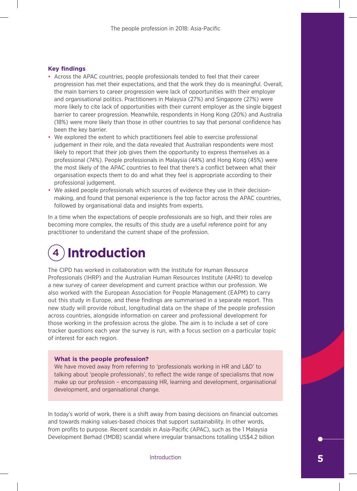# **Key findings**

- Across the APAC countries, people professionals tended to feel that their career progression has met their expectations, and that the work they do is meaningful. Overall, the main barriers to career progression were lack of opportunities with their employer and organisational politics. Practitioners in Malaysia (27%) and Singapore (27%) were more likely to cite lack of opportunities with their current employer as the single biggest barrier to career progression. Meanwhile, respondents in Hong Kong (20%) and Australia (18%) were more likely than those in other countries to say that personal confidence has been the key barrier.
- We explored the extent to which practitioners feel able to exercise professional judgement in their role, and the data revealed that Australian respondents were most likely to report that their job gives them the opportunity to express themselves as a professional (74%). People professionals in Malaysia (44%) and Hong Kong (45%) were the most likely of the APAC countries to feel that there's a conflict between what their organisation expects them to do and what they feel is appropriate according to their professional judgement.
- We asked people professionals which sources of evidence they use in their decisionmaking, and found that personal experience is the top factor across the APAC countries, followed by organisational data and insights from experts.

In a time when the expectations of people professionals are so high, and their roles are becoming more complex, the results of this study are a useful reference point for any practitioner to understand the current shape of the profession.

# 4 **Introduction**

The CIPD has worked in collaboration with the Institute for Human Resource Professionals (IHRP) and the Australian Human Resources Institute (AHRI) to develop a new survey of career development and current practice within our profession. We also worked with the European Association for People Management (EAPM) to carry out this study in Europe, and these findings are summarised in a separate report. This new study will provide robust, longitudinal data on the shape of the people profession across countries, alongside information on career and professional development for those working in the profession across the globe. The aim is to include a set of core tracker questions each year the survey is run, with a focus section on a particular topic of interest for each region.

# **What is the people profession?**

We have moved away from referring to 'professionals working in HR and L&D' to talking about 'people professionals', to reflect the wide range of specialisms that now make up our profession – encompassing HR, learning and development, organisational development, and organisational change.

In today's world of work, there is a shift away from basing decisions on financial outcomes and towards making values-based choices that support sustainability. In other words, from profits to purpose. Recent scandals in Asia-Pacific (APAC), such as the 1 Malaysia Development Berhad (1MDB) scandal where irregular transactions totalling US\$4.2 billion

Introduction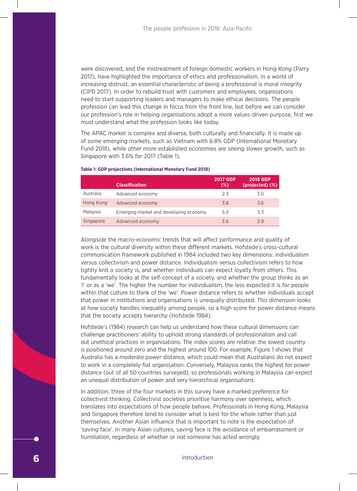were discovered, and the mistreatment of foreign domestic workers in Hong Kong (Parry 2017), have highlighted the importance of ethics and professionalism. In a world of increasing distrust, an essential characteristic of being a professional is moral integrity (CIPD 2017). In order to rebuild trust with customers and employees, organisations need to start supporting leaders and managers to make ethical decisions. The people profession can lead this change in focus from the front line, but before we can consider our profession's role in helping organisations adopt a more values-driven purpose, first we must understand what the profession looks like today.

The APAC market is complex and diverse, both culturally and financially. It is made up of some emerging markets, such as Vietnam with 6.8% GDP (International Monetary Fund 2018), while other more established economies are seeing slower growth, such as Singapore with 3.6% for 2017 (Table 1).

|           | <b>Classification</b>                  | <b>2017 GDP</b><br>$(\%)$ | <b>2018 GDP</b><br>(projected) (%) |
|-----------|----------------------------------------|---------------------------|------------------------------------|
| Australia | Advanced economy                       | 2.3                       | 3.0                                |
| Hong Kong | Advanced economy                       | 3.8                       | 3.6                                |
| Malaysia  | Emerging market and developing economy | 5.9                       | 5.3                                |
| Singapore | Advanced economy                       | 3.6                       | 29                                 |

## **Table 1: GDP projections (International Monetary Fund 2018)**

Alongside the macro-economic trends that will affect performance and quality of work is the cultural diversity within these different markets. Hofstede's cross-cultural communication framework published in 1984 included two key dimensions: individualism versus collectivism and power distance. Individualism versus collectivism refers to how tightly knit a society is, and whether individuals can expect loyalty from others. This fundamentally looks at the self-concept of a society, and whether the group thinks as an 'I' or as a 'we'. The higher the number for individualism, the less expected it is for people within that culture to think of the 'we'. Power distance refers to whether individuals accept that power in institutions and organisations is unequally distributed. This dimension looks at how society handles inequality among people, so a high score for power distance means that the society accepts hierarchy (Hofstede 1984).

Hofstede's (1984) research can help us understand how these cultural dimensions can challenge practitioners' ability to uphold strong standards of professionalism and call out unethical practices in organisations. The index scores are relative: the lowest country is positioned around zero and the highest around 100. For example, Figure 1 shows that Australia has a moderate power distance, which could mean that Australians do not expect to work in a completely flat organisation. Conversely, Malaysia ranks the highest for power distance (out of all 50 countries surveyed), so professionals working in Malaysia can expect an unequal distribution of power and very hierarchical organisations.

In addition, three of the four markets in this survey have a marked preference for collectivist thinking. Collectivist societies prioritise harmony over openness, which translates into expectations of how people behave. Professionals in Hong Kong, Malaysia and Singapore therefore tend to consider what is best for the whole rather than just themselves. Another Asian influence that is important to note is the expectation of 'saving face'. In many Asian cultures, saving face is the avoidance of embarrassment or humiliation, regardless of whether or not someone has acted wrongly.

Introduction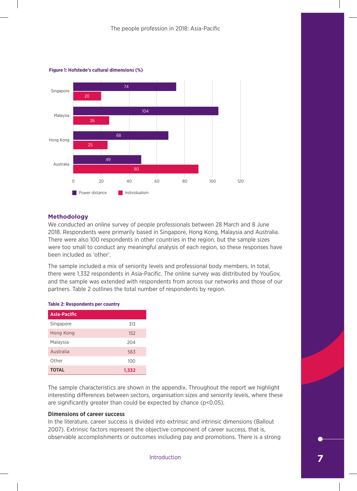

### **Figure 1: Hofstede's cultural dimensions (%)**

# **Methodology**

We conducted an online survey of people professionals between 28 March and 8 June **Body of**  been included as 'other'. There were also 100 respondents in other countries in the region, but the sample sizes 2018. Respondents were primarily based in Singapore, Hong Kong, Malaysia and Australia. were too small to conduct any meaningful analysis of each region, so these responses have

there were 1,332 respondents in Asia-Pacific. The online survey was distributed by YouGov, and the sample was extended with respondents from across our networks and those of our The sample included a mix of seniority levels and professional body members. In total, partners. Table 2 outlines the total number of respondents by region.

| -------------       |       |  |  |
|---------------------|-------|--|--|
| <b>Asia-Pacific</b> |       |  |  |
| Singapore           | 313   |  |  |
| Hong Kong           | 152   |  |  |
| Malaysia            | 204   |  |  |
| Australia           | 563   |  |  |
| Other               | 100   |  |  |
| <b>TOTAL</b>        | 1,332 |  |  |

<sup>43</sup> <sup>41</sup>

### **Table 2: Respondents per country**

The sample characteristics are shown in the appendix. Throughout the report we highlight are significantly greater than could be expected by chance (p<0.05).  $\overline{2}$  $\frac{33}{3}$ interesting differences between sectors, organisation sizes and seniority levels, where these

# **Dimensions of career success**

2007). Extrinsic factors represent the objective component of career success, that is, at observable accomplishments or outcomes including pay and promotions. There is a strong In the literature, career success is divided into extrinsic and intrinsic dimensions (Ballout

Introduction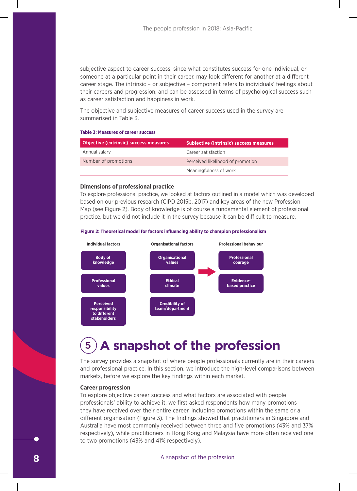subjective aspect to career success, since what constitutes success for one individual, or someone at a particular point in their career, may look different for another at a different career stage. The intrinsic – or subjective – component refers to individuals' feelings about their careers and progression, and can be assessed in terms of psychological success such as career satisfaction and happiness in work.  $\overline{\phantom{a}}$ ld

The objective and subjective measures of career success used in the survey are summarised in Table 3.

### **Table 3: Measures of career success**

| <b>Objective (extrinsic) success measures</b> | <b>Subjective (intrinsic) success measures</b> |
|-----------------------------------------------|------------------------------------------------|
| Annual salary                                 | Career satisfaction                            |
| Number of promotions                          | Perceived likelihood of promotion              |
|                                               | Meaningfulness of work                         |

## **Dimensions of professional practice**

To explore professional practice, we looked at factors outlined in a model which was developed based on our previous research (CIPD 2015b, 2017) and key areas of the new Profession Map (see Figure 2). Body of knowledge is of course a fundamental element of professional practice, but we did not include it in the survey because it can be difficult to measure.





# 5 **A snapshot of the profession**

markets, before we explore the key findings within each market. The survey provides a snapshot of where people professionals currently are in their careers and professional practice. In this section, we introduce the high-level comparisons between

# 40 **Career progression**

espectively), while practitioners in Hong Kong and Malaysia  $\overline{a}$ professionals' ability to achieve it, we first asked respondents how many promotions a  $\epsilon$ 4 to two promotions (43% and 41% respectively). To explore objective career success and what factors are associated with people 21 different organisation (Figure 3). The findings showed that practitioners in Singapore and 16 Australia have most commonly received between three and five promotions (43% and 37% ave more oft they have received over their entire career, including promotions within the same or a respectively), while practitioners in Hong Kong and Malaysia have more often received one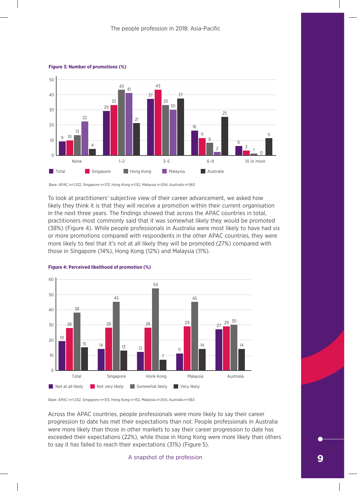

#### **Figure 3: Number of promotions (%)**

Base: APAC n=1,332, Singapore n=313, Hong Kong n=152, Malaysia n=204, Australia n=563

To look at practitioners' subjective view of their career advancement, we asked how likely they think it is that they will receive a promotion within their current organisation in the next three years. The findings showed that across the APAC countries in total, practitioners most commonly said that it was somewhat likely they would be promoted (38%) (Figure 4). While people professionals in Australia were most likely to have had six or more promotions compared with respondents in the other APAC countries, they were more likely to feel that it's not at all likely they will be promoted (27%) compared with those in Singapore (14%), Hong Kong (12%) and Malaysia (11%).



**Figure 4: Perceived likelihood of promotion (%)**

Base: APAC n=1,332, Singapore n=313, Hong Kong n=152, Malaysia n=204, Australia n=563

Across the APAC countries, people professionals were more likely to say their career progression to date has met their expectations than not. People professionals in Australia were more likely than those in other markets to say their career progression to date has exceeded their expectations (22%), while those in Hong Kong were more likely than others to say it has failed to reach their expectations (31%) (Figure 5).

# A snapshot of the profession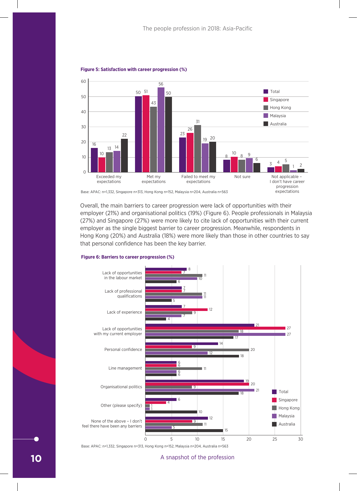

### **Figure 5: Satisfaction with career progression (%)**

Base: APAC: n=1,332, Singapore n=313, Hong Kong n=152, Malaysia n=204, Australia n=563

Overall, the main barriers to career progression were lack of opportunities with their employer (21%) and organisational politics (19%) (Figure 6). People professionals in Malaysia (27%) and Singapore (27%) were more likely to cite lack of opportunities with their current employer as the single biggest barrier to career progression. Meanwhile, respondents in Hong Kong (20%) and Australia (18%) were more likely than those in other countries to say that personal confidence has been the key barrier.



#### **Figure 6: Barriers to career progression (%)**

Base: APAC: n=1,332, Singapore n=313, Hong Kong n=152, Malaysia n=204, Australia n=563

## A snapshot of the profession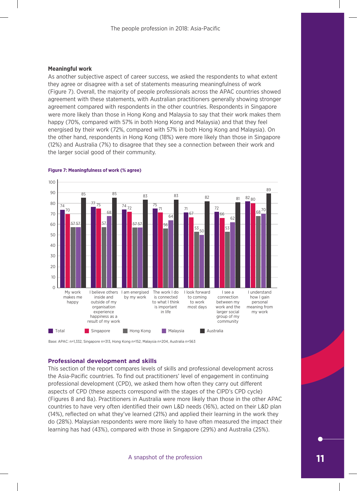# **Meaningful work**

As another subjective aspect of career success, we asked the respondents to what extent they agree or disagree with a set of statements measuring meaningfulness of work (Figure 7). Overall, the majority of people professionals across the APAC countries showed 1 10 agreement with these statements, with Australian practitioners generally showing stronger agreement compared with respondents in the other countries. Respondents in Singapore were more likely than those in Hong Kong and Malaysia to say that their work makes them happy (70%, compared with 57% in both Hong Kong and Malaysia) and that they feel energised by their work (72%, compared with 57% in both Hong Kong and Malaysia). On the other hand, respondents in Hong Kong (18%) were more likely than those in Singapore (12%) and Australia (7%) to disagree that they see a connection between their work and the larger social good of their community. success, we asked the respondents to what e ents in the other countries. Respondents in Sing Malaysia



#### **Figure 7: Meaningfulness of work (% agree)**

Base: APAC: n=1,332, Singapore n=313, Hong Kong n=152, Malaysia n=204, Australia n=563

# **Professional development and skills**

This section of the report compares levels of skills and professional development across the Asia-Pacific countries. To find out practitioners' level of engagement in continuing professional development (CPD), we asked them how often they carry out different aspects of CPD (these aspects correspond with the stages of the CIPD's CPD cycle) (Figures 8 and 8a). Practitioners in Australia were more likely than those in the other APAC countries to have very often identified their own L&D needs (16%), acted on their L&D plan (14%), reflected on what they've learned (21%) and applied their learning in the work they do (28%). Malaysian respondents were more likely to have often measured the impact their learning has had (43%), compared with those in Singapore (29%) and Australia (25%).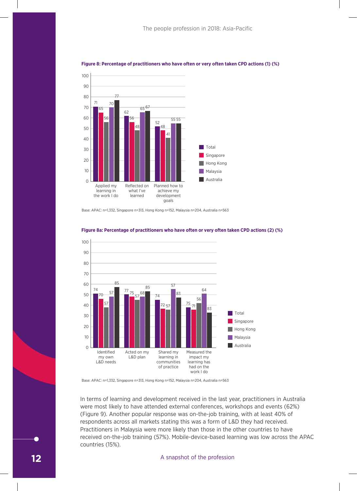

# **Figure 8: Percentage of practitioners who have often or very often taken CPD actions (1) (%) Figure 8: Percentage of practitioners who have often or very often taken CPD actions (1) (%)**

Base: APAC: n=1,332, Singapore n=313, Hong Kong n=152, Malaysia n=204, Australia n=563 Base: APAC: n=1,332, Singapore n=313, Hong Kong n=152, Malaysia n=204, Australia n=563



# **Figure 8a: Percentage of practitioners who have often or very often taken CPD actions (2) (%) Figure 8a: Percentage of practitioners who have often or very often taken CPD actions (2) (%)**

Base: APAC: n=1,332, Singapore n=313, Hong Kong n=152, Malaysia n=204, Australia n=563 Base: APAC: n=1,332, Singapore n=313, Hong Kong n=152, Malaysia n=204, Australia n=563

In terms of learning and development received in the last year, practitioners in Australia were most likely to have attended external conferences, workshops and events (62%) (Figure 9). Another popular response was on-the-job training, with at least 40% of respondents across all markets stating this was a form of L&D they had received. Practitioners in Malaysia were more likely than those in the other countries to have received on-the-job training (57%). Mobile-device-based learning was low across the APAC countries (15%).

# A snapshot of the profession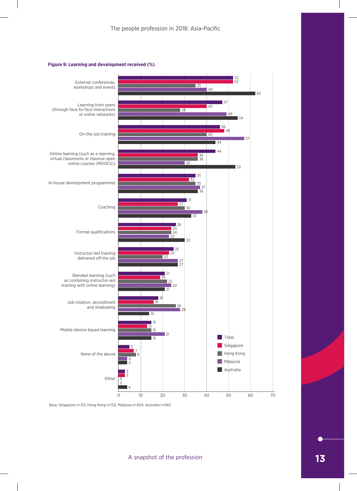# **Figure 9: Learning and development received (%)**



Base: Singapore n=313, Hong Kong n=152, Malaysia n=204, Australia n=563

A snapshot of the profession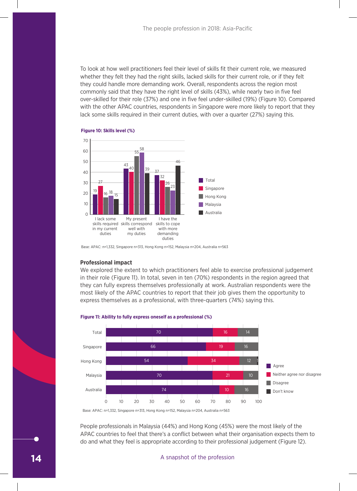To look at how well practitioners feel their level of skills fit their current role, we measured whether they felt they had the right skills, lacked skills for their current role, or if they felt they could handle more demanding work. Overall, respondents across the region most commonly said that they have the right level of skills (43%), while nearly two in five feel over-skilled for their role (37%) and one in five feel under-skilled (19%) (Figure 10). Compared with the other APAC countries, respondents in Singapore were more likely to report that they lack some skills required in their current duties, with over a quarter (27%) saying this.



### **Figure 10: Skills level (%)**

Base: APAC: n=1,332, Singapore n=313, Hong Kong n=152, Malaysia n=204, Australia n=563 duties

### **Professional impact**

We explored the extent to which practitioners feel able to exercise professional judgement in their role (Figure 11). In total, seven in ten (70%) respondents in the region agreed that they can fully express themselves professionally at work. Australian respondents were the most likely of the APAC countries to report that their job gives them the opportunity to express themselves as a professional, with three-quarters (74%) saying this.



# **Figure 11: Ability to fully express oneself as a professional (%) Figure 11: Ability to fully express oneself as a professional (%)**

APAC countries to feel that there's a conflict between what their organisation expects them to People professionals in Malaysia (44%) and Hong Kong (45%) were the most likely of the do and what they feel is appropriate according to their professional judgement (Figure 12).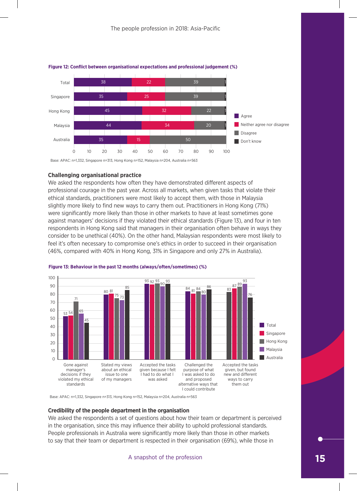

# **Figure 12: Conflict between organisational expectations and professional judgement (%)**

**Challenging organisational practice**

We asked the respondents how often they have demonstrated different aspects of professional courage in the past year. Across all markets, when given tasks that violate their ethical standards, practitioners were most likely to accept them, with those in Malaysia slightly more likely to find new ways to carry them out. Practitioners in Hong Kong (71%) were significantly more likely than those in other markets to have at least sometimes gone against managers' decisions if they violated their ethical standards (Figure 13), and four in ten respondents in Hong Kong said that managers in their organisation often behave in ways they consider to be unethical (40%). On the other hand, Malaysian respondents were most likely to feel it's often necessary to compromise one's ethics in order to succeed in their organisation (46%, compared with 40% in Hong Kong, 31% in Singapore and only 27% in Australia).



## **Figure 13: Behaviour in the past 12 months (always/often/sometimes) (%)**

Base: APAC: n=1,332, Singapore n=313, Hong Kong n=152, Malaysia n=204, Australia n=563

### **Credibility of the people department in the organisation**

People professionals in Australia were significantly more likely than those in other markets We asked the respondents a set of questions about how their team or department is perceived in the organisation, since this may influence their ability to uphold professional standards. to say that their team or department is respected in their organisation (69%), while those in

# A snapshot of the profession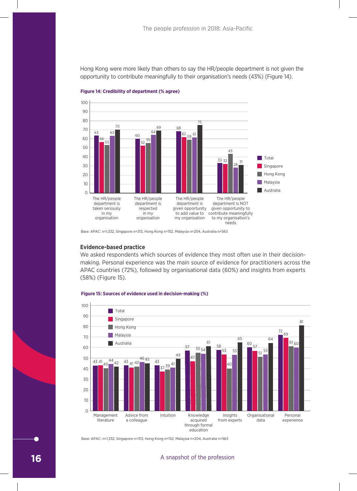Hong Kong were more likely than others to say the HR/people department is not given the opportunity to contribute meaningfully to their organisation's needs (43%) (Figure 14).



**Figure 14: Credibility of department (% agree)**

# **Evidence-based practice**

We asked respondents which sources of evidence they most often use in their decisionmaking. Personal experience was the main source of evidence for practitioners across the APAC countries (72%), followed by organisational data (60%) and insights from experts (58%) (Figure 15).



### **Figure 15: Sources of evidence used in decision-making (%)**

Base: APAC: n=1,332, Singapore n=313, Hong Kong n=152, Malaysia n=204, Australia n=563

## A snapshot of the profession

Base: APAC: n=1,332, Singapore n=313, Hong Kong n=152, Malaysia n=204, Australia n=563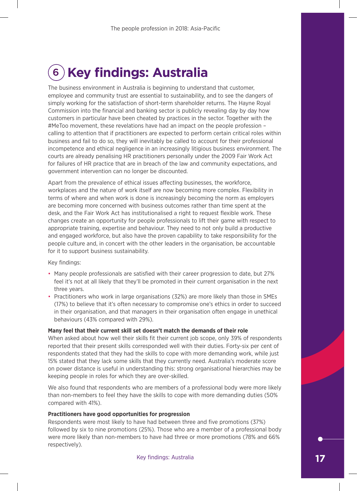# 6 **Key findings: Australia**

The business environment in Australia is beginning to understand that customer, employee and community trust are essential to sustainability, and to see the dangers of simply working for the satisfaction of short-term shareholder returns. The Hayne Royal Commission into the financial and banking sector is publicly revealing day by day how customers in particular have been cheated by practices in the sector. Together with the #MeToo movement, these revelations have had an impact on the people profession – calling to attention that if practitioners are expected to perform certain critical roles within business and fail to do so, they will inevitably be called to account for their professional incompetence and ethical negligence in an increasingly litigious business environment. The courts are already penalising HR practitioners personally under the 2009 Fair Work Act for failures of HR practice that are in breach of the law and community expectations, and government intervention can no longer be discounted.

Apart from the prevalence of ethical issues affecting businesses, the workforce, workplaces and the nature of work itself are now becoming more complex. Flexibility in terms of where and when work is done is increasingly becoming the norm as employers are becoming more concerned with business outcomes rather than time spent at the desk, and the Fair Work Act has institutionalised a right to request flexible work. These changes create an opportunity for people professionals to lift their game with respect to appropriate training, expertise and behaviour. They need to not only build a productive and engaged workforce, but also have the proven capability to take responsibility for the people culture and, in concert with the other leaders in the organisation, be accountable for it to support business sustainability.

# Key findings:

- Many people professionals are satisfied with their career progression to date, but 27% feel it's not at all likely that they'll be promoted in their current organisation in the next three years.
- Practitioners who work in large organisations (32%) are more likely than those in SMEs (17%) to believe that it's often necessary to compromise one's ethics in order to succeed in their organisation, and that managers in their organisation often engage in unethical behaviours (43% compared with 29%).

# **Many feel that their current skill set doesn't match the demands of their role**

When asked about how well their skills fit their current job scope, only 39% of respondents reported that their present skills corresponded well with their duties. Forty-six per cent of respondents stated that they had the skills to cope with more demanding work, while just 15% stated that they lack some skills that they currently need. Australia's moderate score on power distance is useful in understanding this: strong organisational hierarchies may be keeping people in roles for which they are over-skilled.

We also found that respondents who are members of a professional body were more likely than non-members to feel they have the skills to cope with more demanding duties (50% compared with 41%).

# **Practitioners have good opportunities for progression**

Respondents were most likely to have had between three and five promotions (37%) followed by six to nine promotions (25%). Those who are a member of a professional body were more likely than non-members to have had three or more promotions (78% and 66% respectively).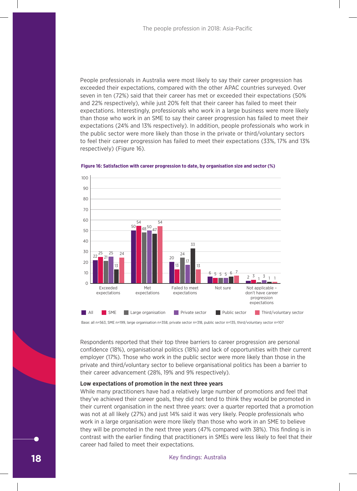People professionals in Australia were most likely to say their career progression has exceeded their expectations, compared with the other APAC countries surveyed. Over seven in ten (72%) said that their career has met or exceeded their expectations (50% and 22% respectively), while just 20% felt that their career has failed to meet their expectations. Interestingly, professionals who work in a large business were more likely than those who work in an SME to say their career progression has failed to meet their expectations (24% and 13% respectively). In addition, people professionals who work in the public sector were more likely than those in the private or third/voluntary sectors to feel their career progression has failed to meet their expectations (33%, 17% and 13% respectively) (Figure 16). *J.* III duulu perioda professionale ushe work





Base: all n=563, SME n=199, large organisation n=358, private sector n=318, public sector n=135, third/voluntary sector n=107

Respondents reported that their top three barriers to career progression are personal confidence (18%), organisational politics (18%) and lack of opportunities with their current employer (17%). Those who work in the public sector were more likely than those in the private and third/voluntary sector to believe organisational politics has been a barrier to their career advancement (28%, 19% and 9% respectively).

# **Low expectations of promotion in the next three years**

While many practitioners have had a relatively large number of promotions and feel that they've achieved their career goals, they did not tend to think they would be promoted in their current organisation in the next three years: over a quarter reported that a promotion was not at all likely (27%) and just 14% said it was very likely. People professionals who work in a large organisation were more likely than those who work in an SME to believe they will be promoted in the next three years (47% compared with 38%). This finding is in contrast with the earlier finding that practitioners in SMEs were less likely to feel that their career had failed to meet their expectations.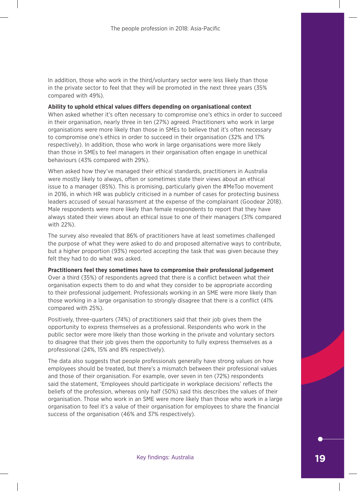In addition, those who work in the third/voluntary sector were less likely than those in the private sector to feel that they will be promoted in the next three years (35% compared with 49%).

# **Ability to uphold ethical values differs depending on organisational context**

When asked whether it's often necessary to compromise one's ethics in order to succeed in their organisation, nearly three in ten (27%) agreed. Practitioners who work in large organisations were more likely than those in SMEs to believe that it's often necessary to compromise one's ethics in order to succeed in their organisation (32% and 17% respectively). In addition, those who work in large organisations were more likely than those in SMEs to feel managers in their organisation often engage in unethical behaviours (43% compared with 29%).

When asked how they've managed their ethical standards, practitioners in Australia were mostly likely to always, often or sometimes state their views about an ethical issue to a manager (85%). This is promising, particularly given the #MeToo movement in 2016, in which HR was publicly criticised in a number of cases for protecting business leaders accused of sexual harassment at the expense of the complainant (Goodear 2018). Male respondents were more likely than female respondents to report that they have always stated their views about an ethical issue to one of their managers (31% compared with 22%).

The survey also revealed that 86% of practitioners have at least sometimes challenged the purpose of what they were asked to do and proposed alternative ways to contribute, but a higher proportion (93%) reported accepting the task that was given because they felt they had to do what was asked.

# **Practitioners feel they sometimes have to compromise their professional judgement**

Over a third (35%) of respondents agreed that there is a conflict between what their organisation expects them to do and what they consider to be appropriate according to their professional judgement. Professionals working in an SME were more likely than those working in a large organisation to strongly disagree that there is a conflict (41% compared with 25%).

Positively, three-quarters (74%) of practitioners said that their job gives them the opportunity to express themselves as a professional. Respondents who work in the public sector were more likely than those working in the private and voluntary sectors to disagree that their job gives them the opportunity to fully express themselves as a professional (24%, 15% and 8% respectively).

The data also suggests that people professionals generally have strong values on how employees should be treated, but there's a mismatch between their professional values and those of their organisation. For example, over seven in ten (72%) respondents said the statement, 'Employees should participate in workplace decisions' reflects the beliefs of the profession, whereas only half (50%) said this describes the values of their organisation. Those who work in an SME were more likely than those who work in a large organisation to feel it's a value of their organisation for employees to share the financial success of the organisation (46% and 37% respectively).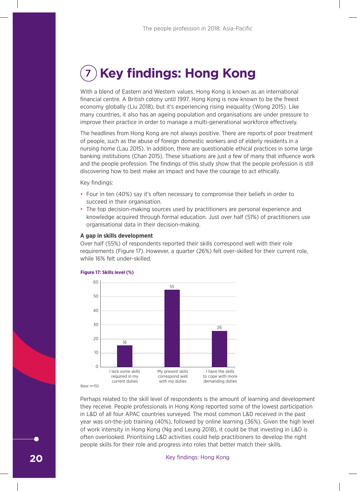# 7 **Key findings: Hong Kong**

With a blend of Eastern and Western values, Hong Kong is known as an international financial centre. A British colony until 1997, Hong Kong is now known to be the freest economy globally (Liu 2018), but it's experiencing rising inequality (Wong 2015). Like many countries, it also has an ageing population and organisations are under pressure to improve their practice in order to manage a multi-generational workforce effectively.

The headlines from Hong Kong are not always positive. There are reports of poor treatment of people, such as the abuse of foreign domestic workers and of elderly residents in a nursing home (Lau 2015). In addition, there are questionable ethical practices in some large banking institutions (Chan 2015). These situations are just a few of many that influence work and the people profession. The findings of this study show that the people profession is still discovering how to best make an impact and have the courage to act ethically.

Key findings:

- Four in ten (40%) say it's often necessary to compromise their beliefs in order to succeed in their organisation.
- The top decision-making sources used by practitioners are personal experience and knowledge acquired through formal education. Just over half (51%) of practitioners use organisational data in their decision-making.

# **A gap in skills development**

Over half (55%) of respondents reported their skills correspond well with their role requirements (Figure 17). However, a quarter (26%) felt over-skilled for their current role, while 16% felt under-skilled.



### **Figure 17: Skills level (%)**

Base: n=152

of work intensity in Hong Kong (Ng and Leung 2018), it could be that investing in L&D is often overlooked. Prioritising L&D activities could help practitioners to develop the right Perhaps related to the skill level of respondents is the amount of learning and development they receive. People professionals in Hong Kong reported some of the lowest participation in L&D of all four APAC countries surveyed. The most common L&D received in the past year was on-the-job training (40%), followed by online learning (36%). Given the high level people skills for their role and progress into roles that better match their skills.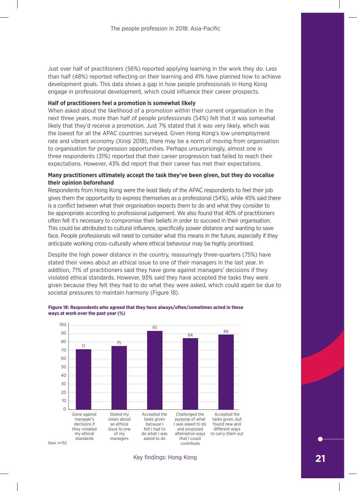Just over half of practitioners (56%) reported applying learning in the work they do. Less than half (48%) reported reflecting on their learning and 41% have planned how to achieve development goals. This data shows a gap in how people professionals in Hong Kong engage in professional development, which could influence their career prospects.

# **Half of practitioners feel a promotion is somewhat likely**

When asked about the likelihood of a promotion within their current organisation in the next three years, more than half of people professionals (54%) felt that it was somewhat likely that they'd receive a promotion. Just 7% stated that it was very likely, which was the lowest for all the APAC countries surveyed. Given Hong Kong's low unemployment rate and vibrant economy (Xinqi 2018), there may be a norm of moving from organisation to organisation for progression opportunities. Perhaps unsurprisingly, almost one in three respondents (31%) reported that their career progression had failed to reach their expectations. However, 43% did report that their career has met their expectations.

# **Many practitioners ultimately accept the task they've been given, but they do vocalise**  50 **their opinion beforehand**  40

Respondents from Hong Kong were the least likely of the APAC respondents to feel their job gives them the opportunity to express themselves as a professional (54%), while 45% said there is a conflict between what their organisation expects them to do and what they consider to be appropriate according to professional judgement. We also found that 40% of practitioners often felt it's necessary to compromise their beliefs in order to succeed in their organisation. 16 This could be attributed to cultural influence, specifically power distance and wanting to save face. People professionals will need to consider what this means in the future, especially if they anticipate working cross-culturally where ethical behaviour may be highly prioritised. 0 onling dios calculary where current schaviour may

Despite the high power distance in the country, reassuringly three-quarters (75%) have stated their views about an ethical issue to one of their managers in the last year. In addition, 71% of practitioners said they have gone against managers' decisions if they violated ethical standards. However, 93% said they have accepted the tasks they were given because they felt they had to do what they were asked, which could again be due to societal pressures to maintain harmony (Figure 18). riigii powe correspond well e in the co to cope with more reassuringly i



### **Figure 18: Respondents who agreed that they have always/often/sometimes acted in these ways at work over the past year (%)**

Key findings: Hong Kong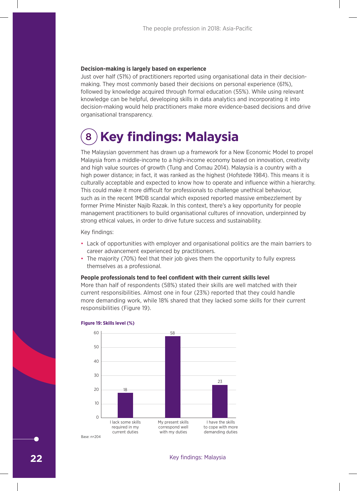# **Decision-making is largely based on experience**

Just over half (51%) of practitioners reported using organisational data in their decisionmaking. They most commonly based their decisions on personal experience (61%), followed by knowledge acquired through formal education (55%). While using relevant knowledge can be helpful, developing skills in data analytics and incorporating it into decision-making would help practitioners make more evidence-based decisions and drive organisational transparency.

# 8 **Key findings: Malaysia**

The Malaysian government has drawn up a framework for a New Economic Model to propel Malaysia from a middle-income to a high-income economy based on innovation, creativity and high value sources of growth (Tung and Comau 2014). Malaysia is a country with a high power distance; in fact, it was ranked as the highest (Hofstede 1984). This means it is culturally acceptable and expected to know how to operate and influence within a hierarchy. This could make it more difficult for professionals to challenge unethical behaviour, such as in the recent 1MDB scandal which exposed reported massive embezzlement by former Prime Minister Najib Razak. In this context, there's a key opportunity for people management practitioners to build organisational cultures of innovation, underpinned by strong ethical values, in order to drive future success and sustainability.

Key findings:

- Lack of opportunities with employer and organisational politics are the main barriers to career advancement experienced by practitioners.
- The majority (70%) feel that their job gives them the opportunity to fully express themselves as a professional.

# **People professionals tend to feel confident with their current skills level**

More than half of respondents (58%) stated their skills are well matched with their current responsibilities. Almost one in four (23%) reported that they could handle more demanding work, while 18% shared that they lacked some skills for their current responsibilities (Figure 19).



### **Figure 19: Skills level (%)**

# **22** Key findings: Malaysia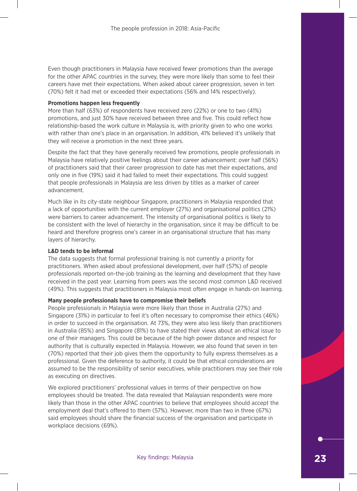Even though practitioners in Malaysia have received fewer promotions than the average for the other APAC countries in the survey, they were more likely than some to feel their careers have met their expectations. When asked about career progression, seven in ten (70%) felt it had met or exceeded their expectations (56% and 14% respectively).

# **Promotions happen less frequently**

More than half (63%) of respondents have received zero (22%) or one to two (41%) promotions, and just 30% have received between three and five. This could reflect how relationship-based the work culture in Malaysia is, with priority given to who one works with rather than one's place in an organisation. In addition, 41% believed it's unlikely that they will receive a promotion in the next three years.

Despite the fact that they have generally received few promotions, people professionals in Malaysia have relatively positive feelings about their career advancement: over half (56%) of practitioners said that their career progression to date has met their expectations, and only one in five (19%) said it had failed to meet their expectations. This could suggest that people professionals in Malaysia are less driven by titles as a marker of career advancement.

Much like in its city-state neighbour Singapore, practitioners in Malaysia responded that a lack of opportunities with the current employer (27%) and organisational politics (21%) were barriers to career advancement. The intensity of organisational politics is likely to be consistent with the level of hierarchy in the organisation, since it may be difficult to be heard and therefore progress one's career in an organisational structure that has many layers of hierarchy.

# **L&D tends to be informal**

The data suggests that formal professional training is not currently a priority for practitioners. When asked about professional development, over half (57%) of people professionals reported on-the-job training as the learning and development that they have received in the past year. Learning from peers was the second most common L&D received (49%). This suggests that practitioners in Malaysia most often engage in hands-on learning.

# **Many people professionals have to compromise their beliefs**

People professionals in Malaysia were more likely than those in Australia (27%) and Singapore (31%) in particular to feel it's often necessary to compromise their ethics (46%) in order to succeed in the organisation. At 73%, they were also less likely than practitioners in Australia (85%) and Singapore (81%) to have stated their views about an ethical issue to one of their managers. This could be because of the high power distance and respect for authority that is culturally expected in Malaysia. However, we also found that seven in ten (70%) reported that their job gives them the opportunity to fully express themselves as a professional. Given the deference to authority, it could be that ethical considerations are assumed to be the responsibility of senior executives, while practitioners may see their role as executing on directives.

We explored practitioners' professional values in terms of their perspective on how employees should be treated. The data revealed that Malaysian respondents were more likely than those in the other APAC countries to believe that employees should accept the employment deal that's offered to them (57%). However, more than two in three (67%) said employees should share the financial success of the organisation and participate in workplace decisions (69%).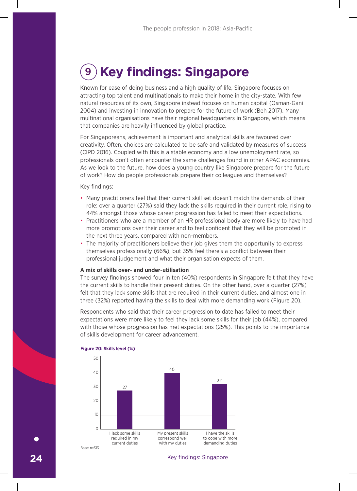# 9 **Key findings: Singapore**

Known for ease of doing business and a high quality of life, Singapore focuses on attracting top talent and multinationals to make their home in the city-state. With few natural resources of its own, Singapore instead focuses on human capital (Osman-Gani 2004) and investing in innovation to prepare for the future of work (Beh 2017). Many multinational organisations have their regional headquarters in Singapore, which means that companies are heavily influenced by global practice.

For Singaporeans, achievement is important and analytical skills are favoured over creativity. Often, choices are calculated to be safe and validated by measures of success (CIPD 2016). Coupled with this is a stable economy and a low unemployment rate, so professionals don't often encounter the same challenges found in other APAC economies. As we look to the future, how does a young country like Singapore prepare for the future of work? How do people professionals prepare their colleagues and themselves?

Key findings:

- Many practitioners feel that their current skill set doesn't match the demands of their role: over a quarter (27%) said they lack the skills required in their current role, rising to Figure 3 of a quarter (27%) said they hadd the stand required in their carrent role, henny 44% amongst those whose career progression has failed to meet their expectations.
- Practitioners who are a member of an HR professional body are more likely to have had more promotions over their career and to feel confident that they will be promoted in the next three years, compared with non-members.
- The majority of practitioners believe their job gives them the opportunity to express the majority of productions were also you given them are opportunity to a professional judgement and what their organisation expects of them. 30

### **A mix of skills over- and under-utilisation**

The survey findings showed four in ten (40%) respondents in Singapore felt that they have the current skills to handle their present duties. On the other hand, over a quarter (27%) felt that they lack some skills that are required in their current duties, and almost one in three (32%) reported having the skills to deal with more demanding work (Figure 20). 0

Respondents who said that their career progression to date has failed to meet their expectations were more likely to feel they lack some skills for their job (44%), compared with those whose progression has met expectations (25%). This points to the importance of skills development for career advancement. s who said curre more likely to feel they lack some skills for My present skills eir career pi I have the skills sion to date r



#### **Figure 20: Skills level (%)**

**24** Key findings: Singapore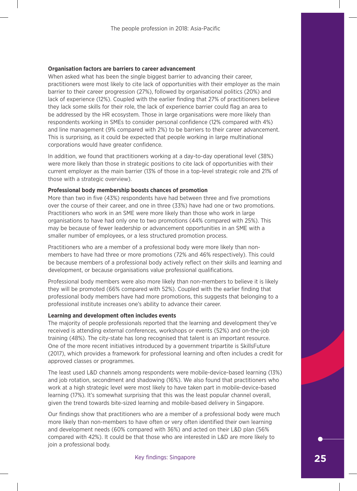# **Organisation factors are barriers to career advancement**

When asked what has been the single biggest barrier to advancing their career, practitioners were most likely to cite lack of opportunities with their employer as the main barrier to their career progression (27%), followed by organisational politics (20%) and lack of experience (12%). Coupled with the earlier finding that 27% of practitioners believe they lack some skills for their role, the lack of experience barrier could flag an area to be addressed by the HR ecosystem. Those in large organisations were more likely than respondents working in SMEs to consider personal confidence (12% compared with 4%) and line management (9% compared with 2%) to be barriers to their career advancement. This is surprising, as it could be expected that people working in large multinational corporations would have greater confidence.

In addition, we found that practitioners working at a day-to-day operational level (38%) were more likely than those in strategic positions to cite lack of opportunities with their current employer as the main barrier (13% of those in a top-level strategic role and 21% of those with a strategic overview).

# **Professional body membership boosts chances of promotion**

More than two in five (43%) respondents have had between three and five promotions over the course of their career, and one in three (33%) have had one or two promotions. Practitioners who work in an SME were more likely than those who work in large organisations to have had only one to two promotions (44% compared with 25%). This may be because of fewer leadership or advancement opportunities in an SME with a smaller number of employees, or a less structured promotion process.

Practitioners who are a member of a professional body were more likely than nonmembers to have had three or more promotions (72% and 46% respectively). This could be because members of a professional body actively reflect on their skills and learning and development, or because organisations value professional qualifications.

Professional body members were also more likely than non-members to believe it is likely they will be promoted (66% compared with 52%). Coupled with the earlier finding that professional body members have had more promotions, this suggests that belonging to a professional institute increases one's ability to advance their career.

# **Learning and development often includes events**

The majority of people professionals reported that the learning and development they've received is attending external conferences, workshops or events (52%) and on-the-job training (48%). The city-state has long recognised that talent is an important resource. One of the more recent initiatives introduced by a government tripartite is SkillsFuture (2017), which provides a framework for professional learning and often includes a credit for approved classes or programmes.

The least used L&D channels among respondents were mobile-device-based learning (13%) and job rotation, secondment and shadowing (16%). We also found that practitioners who work at a high strategic level were most likely to have taken part in mobile-device-based learning (17%). It's somewhat surprising that this was the least popular channel overall, given the trend towards bite-sized learning and mobile-based delivery in Singapore.

Our findings show that practitioners who are a member of a professional body were much more likely than non-members to have often or very often identified their own learning and development needs (60% compared with 36%) and acted on their L&D plan (56% compared with 42%). It could be that those who are interested in L&D are more likely to join a professional body.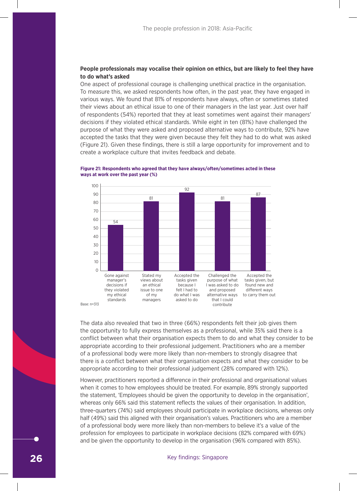# **People professionals may vocalise their opinion on ethics, but are likely to feel they have**  40 **to do what's asked** 30

One aspect of professional courage is challenging unethical practice in the organisation. 27 To measure this, we asked respondents how often, in the past year, they have engaged in various ways. We found that 81% of respondents have always, often or sometimes stated their views about an ethical issue to one of their managers in the last year. Just over half 10 of respondents (54%) reported that they at least sometimes went against their managers' decisions if they violated ethical standards. While eight in ten (81%) have challenged the 0 purpose of what they were asked and proposed alternative ways to contribute, 92% have accepted the tasks that they were given because they felt they had to do what was asked (Figure 21). Given these findings, there is still a large opportunity for improvement and to Base: n=313 create a workplace culture that invites feedback and debate. what they  $\eta$ My present skills keu anu pro I have the skills of the skills alterriative w



### **Figure 21: Respondents who agreed that they have always/often/sometimes acted in these ways at work over the past year (%)**

The data also revealed that two in three (66%) respondents felt their job gives them the opportunity to fully express themselves as a professional, while 35% said there is a conflict between what their organisation expects them to do and what they consider to be appropriate according to their professional judgement. Practitioners who are a member of a professional body were more likely than non-members to strongly disagree that there is a conflict between what their organisation expects and what they consider to be appropriate according to their professional judgement (28% compared with 12%).

However, practitioners reported a difference in their professional and organisational values when it comes to how employees should be treated. For example, 89% strongly supported the statement, 'Employees should be given the opportunity to develop in the organisation', whereas only 66% said this statement reflects the values of their organisation. In addition, three-quarters (74%) said employees should participate in workplace decisions, whereas only half (49%) said this aligned with their organisation's values. Practitioners who are a member of a professional body were more likely than non-members to believe it's a value of the profession for employees to participate in workplace decisions (82% compared with 69%) and be given the opportunity to develop in the organisation (96% compared with 85%).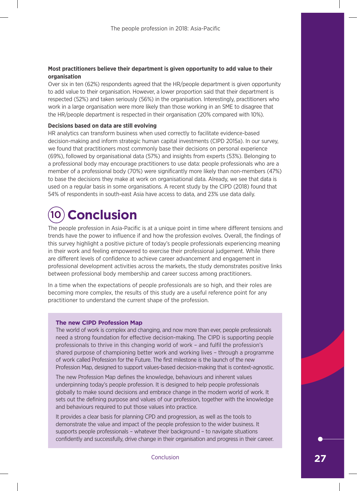# **Most practitioners believe their department is given opportunity to add value to their organisation**

Over six in ten (62%) respondents agreed that the HR/people department is given opportunity to add value to their organisation. However, a lower proportion said that their department is respected (52%) and taken seriously (56%) in the organisation. Interestingly, practitioners who work in a large organisation were more likely than those working in an SME to disagree that the HR/people department is respected in their organisation (20% compared with 10%).

# **Decisions based on data are still evolving**

HR analytics can transform business when used correctly to facilitate evidence-based decision-making and inform strategic human capital investments (CIPD 2015a). In our survey, we found that practitioners most commonly base their decisions on personal experience (69%), followed by organisational data (57%) and insights from experts (53%). Belonging to a professional body may encourage practitioners to use data: people professionals who are a member of a professional body (70%) were significantly more likely than non-members (47%) to base the decisions they make at work on organisational data. Already, we see that data is used on a regular basis in some organisations. A recent study by the CIPD (2018) found that 54% of respondents in south-east Asia have access to data, and 23% use data daily.

# 10 **Conclusion**

The people profession in Asia-Pacific is at a unique point in time where different tensions and trends have the power to influence if and how the profession evolves. Overall, the findings of this survey highlight a positive picture of today's people professionals experiencing meaning in their work and feeling empowered to exercise their professional judgement. While there are different levels of confidence to achieve career advancement and engagement in professional development activities across the markets, the study demonstrates positive links between professional body membership and career success among practitioners.

In a time when the expectations of people professionals are so high, and their roles are becoming more complex, the results of this study are a useful reference point for any practitioner to understand the current shape of the profession.

# **The new CIPD Profession Map**

The world of work is complex and changing, and now more than ever, people professionals need a strong foundation for effective decision-making. The CIPD is supporting people professionals to thrive in this changing world of work – and fulfil the profession's shared purpose of championing better work and working lives – through a programme of work called Profession for the Future. The first milestone is the launch of the new Profession Map, designed to support values-based decision-making that is context-agnostic.

The new Profession Map defines the knowledge, behaviours and inherent values underpinning today's people profession. It is designed to help people professionals globally to make sound decisions and embrace change in the modern world of work. It sets out the defining purpose and values of our profession, together with the knowledge and behaviours required to put those values into practice.

It provides a clear basis for planning CPD and progression, as well as the tools to demonstrate the value and impact of the people profession to the wider business. It supports people professionals – whatever their background – to navigate situations confidently and successfully, drive change in their organisation and progress in their career.

Conclusion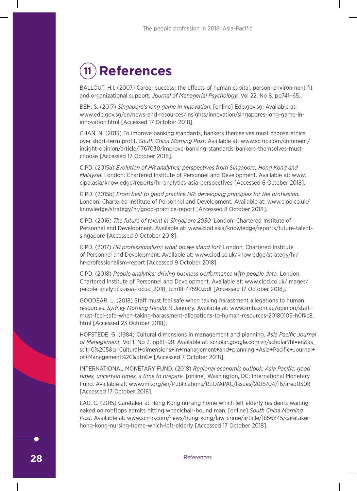# 11 **References**

BALLOUT, H.I. (2007) Career success: the effects of human capital, person–environment fit and organizational support. *Journal of Managerial Psychology*. Vol 22, No 8. pp741–65.

BEH, S. (2017) *Singapore's long game in innovation*. [online] Edb.gov.sg. Available at: www.edb.gov.sg/en/news-and-resources/insights/innovation/singapores-long-game-ininnovation.html [Accessed 17 October 2018].

CHAN, N. (2015) To improve banking standards, bankers themselves must choose ethics over short-term profit. *South China Morning Post*. Available at: www.scmp.com/comment/ insight-opinion/article/1767030/improve-banking-standards-bankers-themselves-mustchoose [Accessed 17 October 2018].

CIPD. (2015a) *Evolution of HR analytics: perspectives from Singapore, Hong Kong and Malaysia*. London: Chartered Institute of Personnel and Development. Available at: www. cipd.asia/knowledge/reports/hr-analytics-asia-perspectives [Accessed 6 October 2018].

CIPD. (2015b) *From best to good practice HR: developing principles for the profession.* London: Chartered Institute of Personnel and Development. Available at: www.cipd.co.uk/ knowledge/strategy/hr/good-practice-report [Accessed 8 October 2018].

CIPD. (2016) *The future of talent in Singapore 2030.* London: Chartered Institute of Personnel and Development. Available at: www.cipd.asia/knowledge/reports/future-talentsingapore [Accessed 9 October 2018].

CIPD. (2017) *HR professionalism: what do we stand for?* London: Chartered Institute of Personnel and Development. Available at: www.cipd.co.uk/knowledge/strategy/hr/ hr-professionalism-report [Accessed 9 October 2018].

CIPD. (2018) *People analytics: driving business performance with people data.* London: Chartered Institute of Personnel and Development. Available at: www.cipd.co.uk/Images/ people-analytics-asia-focus\_2018\_tcm18-47590.pdf [Accessed 17 October 2018].

GOODEAR, L. (2018) Staff must feel safe when taking harassment allegations to human resources. *Sydney Morning Herald*. 9 January. Available at: www.smh.com.au/opinion/staffmust-feel-safe-when-taking-harassment-allegations-to-human-resources-20180109-h0fkc8. html [Accessed 23 October 2018].

HOFSTEDE, G. (1984) Cultural dimensions in management and planning. *Asia Pacific Journal of Management.* Vol 1, No 2. pp81–99. Available at: scholar.google.com.vn/scholar?hl=en&as\_ sdt=0%2C5&q=Cultural+dimensions+in+management+and+planning.+Asia+Pacific+Journal+ of+Management%2C&btnG= [Accessed 7 October 2018].

INTERNATIONAL MONETARY FUND. (2018) *Regional economic outlook. Asia Pacific: good times, uncertain times, a time to prepare.* [online] Washington, DC: International Monetary Fund. Available at: www.imf.org/en/Publications/REO/APAC/Issues/2018/04/16/areo0509 [Accessed 17 October 2018].

LAU, C. (2015) Caretaker at Hong Kong nursing home which left elderly residents waiting naked on rooftops admits hitting wheelchair-bound man. [online] *South China Morning Post*. Available at: www.scmp.com/news/hong-kong/law-crime/article/1856845/caretakerhong-kong-nursing-home-which-left-elderly [Accessed 17 October 2018].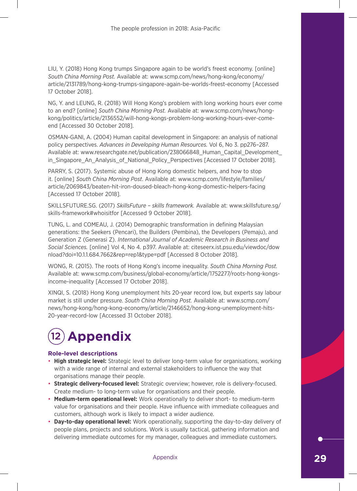LIU, Y. (2018) Hong Kong trumps Singapore again to be world's freest economy. [online] *South China Morning Post.* Available at: www.scmp.com/news/hong-kong/economy/ article/2131789/hong-kong-trumps-singapore-again-be-worlds-freest-economy [Accessed 17 October 2018].

NG, Y. and LEUNG, R. (2018) Will Hong Kong's problem with long working hours ever come to an end? [online] *South China Morning Post.* Available at: www.scmp.com/news/hongkong/politics/article/2136552/will-hong-kongs-problem-long-working-hours-ever-comeend [Accessed 30 October 2018].

OSMAN-GANI, A. (2004) Human capital development in Singapore: an analysis of national policy perspectives. *Advances in Developing Human Resources.* Vol 6, No 3. pp276–287. Available at: www.researchgate.net/publication/238066848\_Human\_Capital\_Development\_ in Singapore An Analysis of National Policy Perspectives [Accessed 17 October 2018].

PARRY, S. (2017). Systemic abuse of Hong Kong domestic helpers, and how to stop it. [online] *South China Morning Post*. Available at: www.scmp.com/lifestyle/families/ article/2069843/beaten-hit-iron-doused-bleach-hong-kong-domestic-helpers-facing [Accessed 17 October 2018].

SKILLSFUTURE.SG. (2017) *SkillsFuture – skills framework.* Available at: www.skillsfuture.sg/ skills-framework#whoisitfor [Accessed 9 October 2018].

TUNG, L. and COMEAU, J. (2014) Demographic transformation in defining Malaysian generations: the Seekers (Pencari), the Builders (Pembina), the Developers (Pemaju), and Generation Z (Generasi Z). *International Journal of Academic Research in Business and Social Sciences.* [online] Vol 4, No 4. p397. Available at: citeseerx.ist.psu.edu/viewdoc/dow nload?doi=10.1.1.684.7662&rep=rep1&type=pdf [Accessed 8 October 2018].

WONG, R. (2015). The roots of Hong Kong's income inequality. *South China Morning Post.* Available at: www.scmp.com/business/global-economy/article/1752277/roots-hong-kongsincome-inequality [Accessed 17 October 2018].

XINQI, S. (2018) Hong Kong unemployment hits 20-year record low, but experts say labour market is still under pressure. *South China Morning Post.* Available at: www.scmp.com/ news/hong-kong/hong-kong-economy/article/2146652/hong-kong-unemployment-hits-20-year-record-low [Accessed 31 October 2018].

# 12 **Appendix**

# **Role-level descriptions**

- **High strategic level:** Strategic level to deliver long-term value for organisations, working with a wide range of internal and external stakeholders to influence the way that organisations manage their people.
- **Strategic delivery-focused level:** Strategic overview; however, role is delivery-focused. Create medium- to long-term value for organisations and their people.
- **Medium-term operational level:** Work operationally to deliver short- to medium-term value for organisations and their people. Have influence with immediate colleagues and customers, although work is likely to impact a wider audience.
- **Day-to-day operational level:** Work operationally, supporting the day-to-day delivery of people plans, projects and solutions. Work is usually tactical, gathering information and delivering immediate outcomes for my manager, colleagues and immediate customers.

Appendix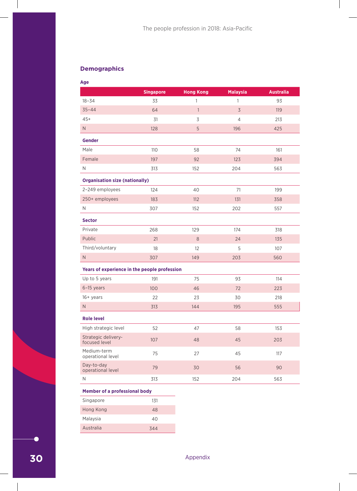# **Demographics**

| Age                                          |                  |                  |                          |                  |
|----------------------------------------------|------------------|------------------|--------------------------|------------------|
|                                              | <b>Singapore</b> | <b>Hong Kong</b> | <b>Malaysia</b>          | <b>Australia</b> |
| $18 - 34$                                    | 33               | $\mathbf{1}$     | $\mathbf{1}$             | 93               |
| $35 - 44$                                    | 64               | $\overline{1}$   | $\overline{\mathcal{S}}$ | 119              |
| $45+$                                        | 31               | 3                | $\overline{4}$           | 213              |
| $\mathsf{N}\xspace$                          | 128              | 5                | 196                      | 425              |
| <b>Gender</b>                                |                  |                  |                          |                  |
| Male                                         | 110              | 58               | 74                       | 161              |
| Female                                       | 197              | 92               | 123                      | 394              |
| $\mathsf{N}$                                 | 313              | 152              | 204                      | 563              |
| <b>Organisation size (nationally)</b>        |                  |                  |                          |                  |
| 2-249 employees                              | 124              | 40               | 71                       | 199              |
| 250+ employees                               | 183              | 112              | 131                      | 358              |
| N                                            | 307              | 152              | 202                      | 557              |
| <b>Sector</b>                                |                  |                  |                          |                  |
| Private                                      | 268              | 129              | 174                      | 318              |
| Public                                       | 21               | $8\,$            | 24                       | 135              |
| Third/voluntary                              | 18               | 12               | 5                        | 107              |
| $\mathsf{N}$                                 | 307              | 149              | 203                      | 560              |
| Years of experience in the people profession |                  |                  |                          |                  |
| Up to 5 years                                | 191              | 75               | 93                       | 114              |
| 6-15 years                                   | 100              | 46               | 72                       | 223              |
| $16+$ years                                  | 22               | 23               | 30                       | 218              |
| $\mathsf{N}$                                 | 313              | 144              | 195                      | 555              |
| <b>Role level</b>                            |                  |                  |                          |                  |
| High strategic level                         | 52               | 47               | 58                       | 153              |
| Strategic delivery-<br>focused level         | 107              | 48               | 45                       | 203              |
| Medium-term<br>operational level             | 75               | 27               | 45                       | 117              |
| Day-to-day<br>operational level              | 79               | 30               | 56                       | 90               |
| $\mathsf{N}$                                 | 313              | 152              | 204                      | 563              |
| <b>Member of a professional body</b>         |                  |                  |                          |                  |
| Singapore                                    | 131              |                  |                          |                  |
|                                              |                  |                  |                          |                  |

| Singapore | 131 |
|-----------|-----|
| Hong Kong | 48  |
| Malaysia  | 40  |
| Australia | 344 |

 $\bullet$